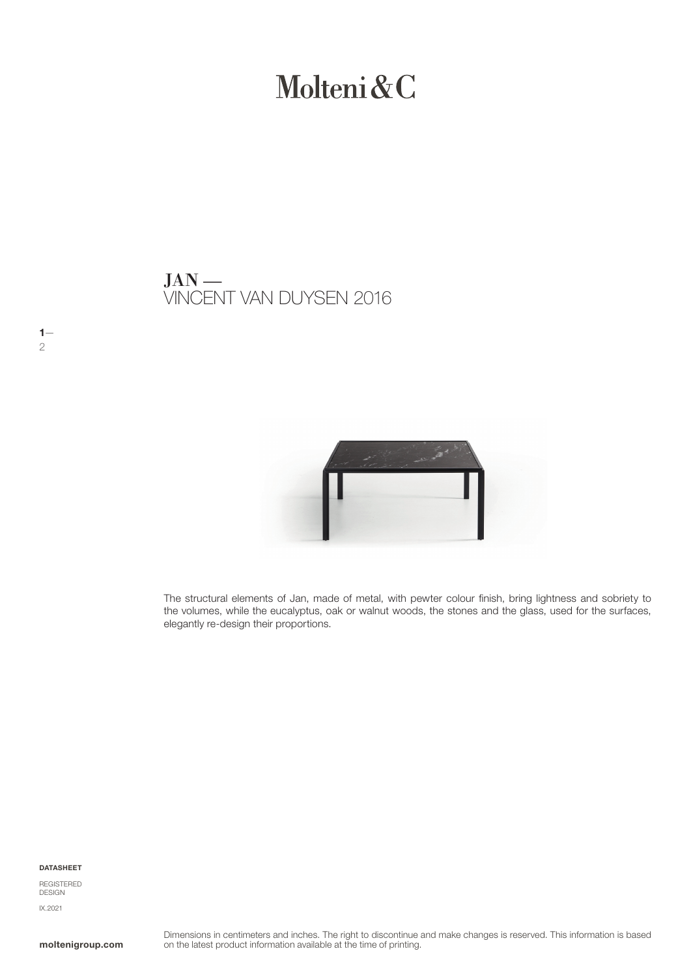# Molteni&C

VINCENT VAN DUYSEN 2016  $JAN$  —



The structural elements of Jan, made of metal, with pewter colour finish, bring lightness and sobriety to the volumes, while the eucalyptus, oak or walnut woods, the stones and the glass, used for the surfaces, elegantly re-design their proportions.

DATASHEET

 $1-$ 

2

REGISTERED DESIGN IX.2021

moltenigroup.com